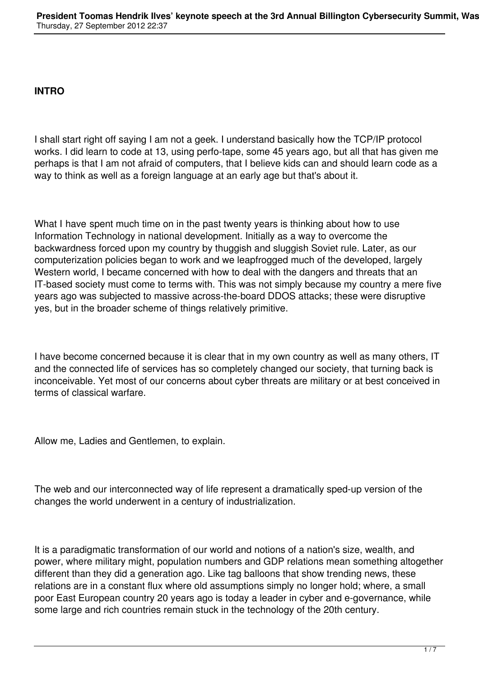## **INTRO**

I shall start right off saying I am not a geek. I understand basically how the TCP/IP protocol works. I did learn to code at 13, using perfo-tape, some 45 years ago, but all that has given me perhaps is that I am not afraid of computers, that I believe kids can and should learn code as a way to think as well as a foreign language at an early age but that's about it.

What I have spent much time on in the past twenty years is thinking about how to use Information Technology in national development. Initially as a way to overcome the backwardness forced upon my country by thuggish and sluggish Soviet rule. Later, as our computerization policies began to work and we leapfrogged much of the developed, largely Western world, I became concerned with how to deal with the dangers and threats that an IT-based society must come to terms with. This was not simply because my country a mere five years ago was subjected to massive across-the-board DDOS attacks; these were disruptive yes, but in the broader scheme of things relatively primitive.

I have become concerned because it is clear that in my own country as well as many others, IT and the connected life of services has so completely changed our society, that turning back is inconceivable. Yet most of our concerns about cyber threats are military or at best conceived in terms of classical warfare.

Allow me, Ladies and Gentlemen, to explain.

The web and our interconnected way of life represent a dramatically sped-up version of the changes the world underwent in a century of industrialization.

It is a paradigmatic transformation of our world and notions of a nation's size, wealth, and power, where military might, population numbers and GDP relations mean something altogether different than they did a generation ago. Like tag balloons that show trending news, these relations are in a constant flux where old assumptions simply no longer hold; where, a small poor East European country 20 years ago is today a leader in cyber and e-governance, while some large and rich countries remain stuck in the technology of the 20th century.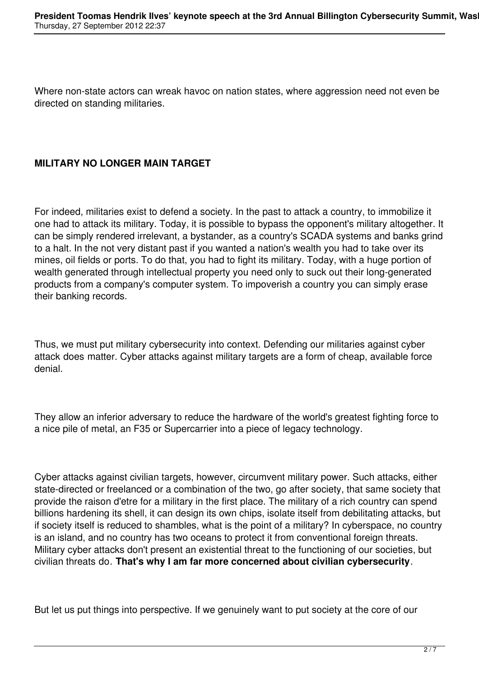Where non-state actors can wreak havoc on nation states, where aggression need not even be directed on standing militaries.

## **MILITARY NO LONGER MAIN TARGET**

For indeed, militaries exist to defend a society. In the past to attack a country, to immobilize it one had to attack its military. Today, it is possible to bypass the opponent's military altogether. It can be simply rendered irrelevant, a bystander, as a country's SCADA systems and banks grind to a halt. In the not very distant past if you wanted a nation's wealth you had to take over its mines, oil fields or ports. To do that, you had to fight its military. Today, with a huge portion of wealth generated through intellectual property you need only to suck out their long-generated products from a company's computer system. To impoverish a country you can simply erase their banking records.

Thus, we must put military cybersecurity into context. Defending our militaries against cyber attack does matter. Cyber attacks against military targets are a form of cheap, available force denial.

They allow an inferior adversary to reduce the hardware of the world's greatest fighting force to a nice pile of metal, an F35 or Supercarrier into a piece of legacy technology.

Cyber attacks against civilian targets, however, circumvent military power. Such attacks, either state-directed or freelanced or a combination of the two, go after society, that same society that provide the raison d'etre for a military in the first place. The military of a rich country can spend billions hardening its shell, it can design its own chips, isolate itself from debilitating attacks, but if society itself is reduced to shambles, what is the point of a military? In cyberspace, no country is an island, and no country has two oceans to protect it from conventional foreign threats. Military cyber attacks don't present an existential threat to the functioning of our societies, but civilian threats do. **That's why I am far more concerned about civilian cybersecurity**.

But let us put things into perspective. If we genuinely want to put society at the core of our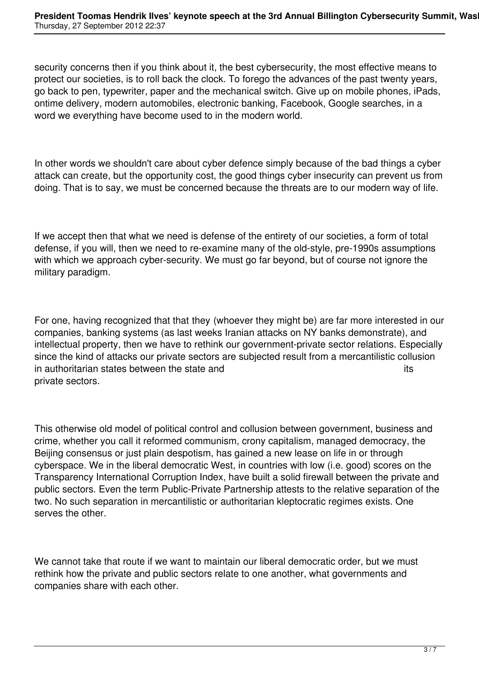security concerns then if you think about it, the best cybersecurity, the most effective means to protect our societies, is to roll back the clock. To forego the advances of the past twenty years, go back to pen, typewriter, paper and the mechanical switch. Give up on mobile phones, iPads, ontime delivery, modern automobiles, electronic banking, Facebook, Google searches, in a word we everything have become used to in the modern world.

In other words we shouldn't care about cyber defence simply because of the bad things a cyber attack can create, but the opportunity cost, the good things cyber insecurity can prevent us from doing. That is to say, we must be concerned because the threats are to our modern way of life.

If we accept then that what we need is defense of the entirety of our societies, a form of total defense, if you will, then we need to re-examine many of the old-style, pre-1990s assumptions with which we approach cyber-security. We must go far beyond, but of course not ignore the military paradigm.

For one, having recognized that that they (whoever they might be) are far more interested in our companies, banking systems (as last weeks Iranian attacks on NY banks demonstrate), and intellectual property, then we have to rethink our government-private sector relations. Especially since the kind of attacks our private sectors are subjected result from a mercantilistic collusion in authoritarian states between the state and its its private sectors.

This otherwise old model of political control and collusion between government, business and crime, whether you call it reformed communism, crony capitalism, managed democracy, the Beijing consensus or just plain despotism, has gained a new lease on life in or through cyberspace. We in the liberal democratic West, in countries with low (i.e. good) scores on the Transparency International Corruption Index, have built a solid firewall between the private and public sectors. Even the term Public-Private Partnership attests to the relative separation of the two. No such separation in mercantilistic or authoritarian kleptocratic regimes exists. One serves the other.

We cannot take that route if we want to maintain our liberal democratic order, but we must rethink how the private and public sectors relate to one another, what governments and companies share with each other.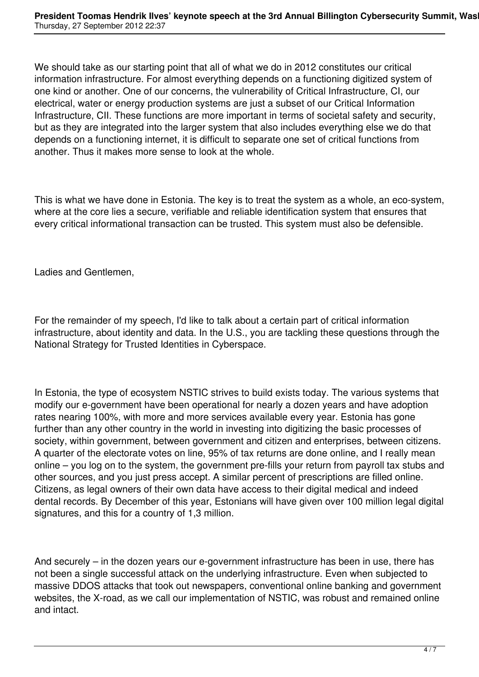We should take as our starting point that all of what we do in 2012 constitutes our critical information infrastructure. For almost everything depends on a functioning digitized system of one kind or another. One of our concerns, the vulnerability of Critical Infrastructure, CI, our electrical, water or energy production systems are just a subset of our Critical Information Infrastructure, CII. These functions are more important in terms of societal safety and security, but as they are integrated into the larger system that also includes everything else we do that depends on a functioning internet, it is difficult to separate one set of critical functions from another. Thus it makes more sense to look at the whole.

This is what we have done in Estonia. The key is to treat the system as a whole, an eco-system, where at the core lies a secure, verifiable and reliable identification system that ensures that every critical informational transaction can be trusted. This system must also be defensible.

Ladies and Gentlemen,

For the remainder of my speech, I'd like to talk about a certain part of critical information infrastructure, about identity and data. In the U.S., you are tackling these questions through the National Strategy for Trusted Identities in Cyberspace.

In Estonia, the type of ecosystem NSTIC strives to build exists today. The various systems that modify our e-government have been operational for nearly a dozen years and have adoption rates nearing 100%, with more and more services available every year. Estonia has gone further than any other country in the world in investing into digitizing the basic processes of society, within government, between government and citizen and enterprises, between citizens. A quarter of the electorate votes on line, 95% of tax returns are done online, and I really mean online – you log on to the system, the government pre-fills your return from payroll tax stubs and other sources, and you just press accept. A similar percent of prescriptions are filled online. Citizens, as legal owners of their own data have access to their digital medical and indeed dental records. By December of this year, Estonians will have given over 100 million legal digital signatures, and this for a country of 1,3 million.

And securely – in the dozen years our e-government infrastructure has been in use, there has not been a single successful attack on the underlying infrastructure. Even when subjected to massive DDOS attacks that took out newspapers, conventional online banking and government websites, the X-road, as we call our implementation of NSTIC, was robust and remained online and intact.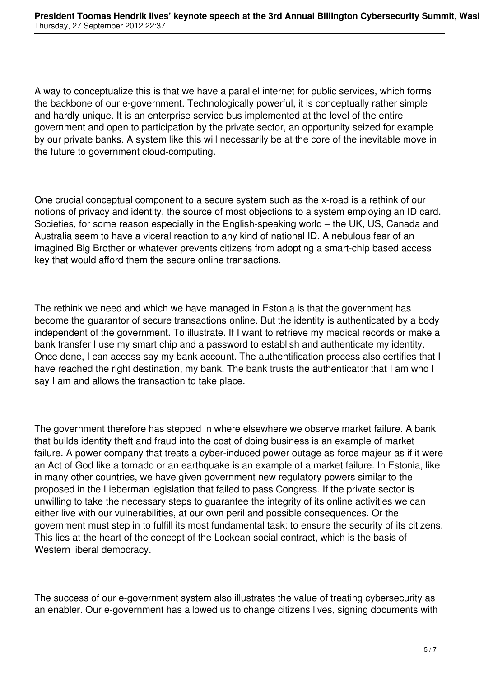A way to conceptualize this is that we have a parallel internet for public services, which forms the backbone of our e-government. Technologically powerful, it is conceptually rather simple and hardly unique. It is an enterprise service bus implemented at the level of the entire government and open to participation by the private sector, an opportunity seized for example by our private banks. A system like this will necessarily be at the core of the inevitable move in the future to government cloud-computing.

One crucial conceptual component to a secure system such as the x-road is a rethink of our notions of privacy and identity, the source of most objections to a system employing an ID card. Societies, for some reason especially in the English-speaking world – the UK, US, Canada and Australia seem to have a viceral reaction to any kind of national ID. A nebulous fear of an imagined Big Brother or whatever prevents citizens from adopting a smart-chip based access key that would afford them the secure online transactions.

The rethink we need and which we have managed in Estonia is that the government has become the guarantor of secure transactions online. But the identity is authenticated by a body independent of the government. To illustrate. If I want to retrieve my medical records or make a bank transfer I use my smart chip and a password to establish and authenticate my identity. Once done, I can access say my bank account. The authentification process also certifies that I have reached the right destination, my bank. The bank trusts the authenticator that I am who I say I am and allows the transaction to take place.

The government therefore has stepped in where elsewhere we observe market failure. A bank that builds identity theft and fraud into the cost of doing business is an example of market failure. A power company that treats a cyber-induced power outage as force majeur as if it were an Act of God like a tornado or an earthquake is an example of a market failure. In Estonia, like in many other countries, we have given government new regulatory powers similar to the proposed in the Lieberman legislation that failed to pass Congress. If the private sector is unwilling to take the necessary steps to guarantee the integrity of its online activities we can either live with our vulnerabilities, at our own peril and possible consequences. Or the government must step in to fulfill its most fundamental task: to ensure the security of its citizens. This lies at the heart of the concept of the Lockean social contract, which is the basis of Western liberal democracy.

The success of our e-government system also illustrates the value of treating cybersecurity as an enabler. Our e-government has allowed us to change citizens lives, signing documents with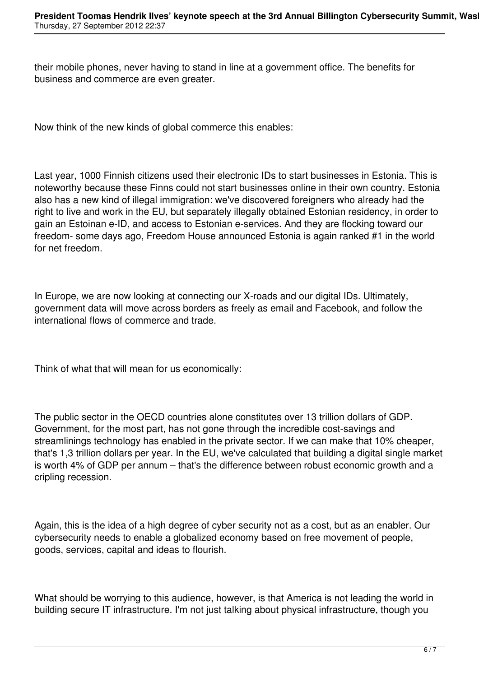their mobile phones, never having to stand in line at a government office. The benefits for business and commerce are even greater.

Now think of the new kinds of global commerce this enables:

Last year, 1000 Finnish citizens used their electronic IDs to start businesses in Estonia. This is noteworthy because these Finns could not start businesses online in their own country. Estonia also has a new kind of illegal immigration: we've discovered foreigners who already had the right to live and work in the EU, but separately illegally obtained Estonian residency, in order to gain an Estoinan e-ID, and access to Estonian e-services. And they are flocking toward our freedom- some days ago, Freedom House announced Estonia is again ranked #1 in the world for net freedom.

In Europe, we are now looking at connecting our X-roads and our digital IDs. Ultimately, government data will move across borders as freely as email and Facebook, and follow the international flows of commerce and trade.

Think of what that will mean for us economically:

The public sector in the OECD countries alone constitutes over 13 trillion dollars of GDP. Government, for the most part, has not gone through the incredible cost-savings and streamlinings technology has enabled in the private sector. If we can make that 10% cheaper, that's 1,3 trillion dollars per year. In the EU, we've calculated that building a digital single market is worth 4% of GDP per annum – that's the difference between robust economic growth and a cripling recession.

Again, this is the idea of a high degree of cyber security not as a cost, but as an enabler. Our cybersecurity needs to enable a globalized economy based on free movement of people, goods, services, capital and ideas to flourish.

What should be worrying to this audience, however, is that America is not leading the world in building secure IT infrastructure. I'm not just talking about physical infrastructure, though you